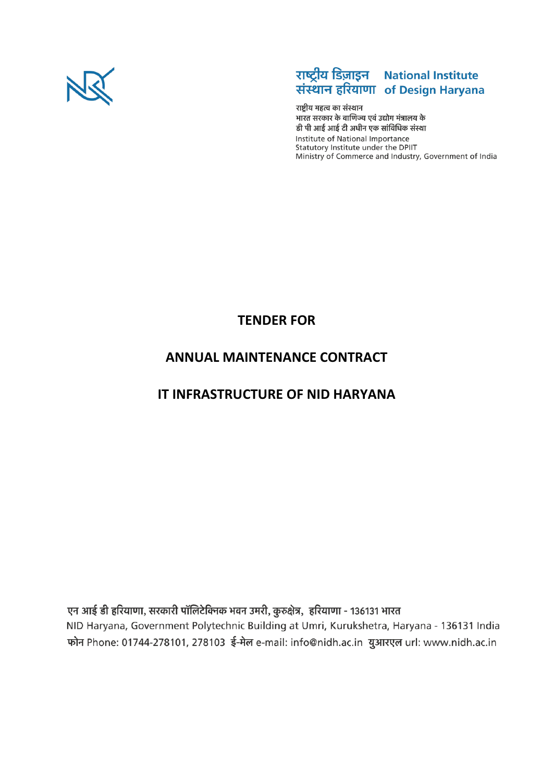

# राष्ट्रीय डिज़ाइन National Institute<br>संस्थान हरियाणा of Design Haryana

राष्ट्रीय महत्व का संस्थान भारत सरकार के वाणिज्य एवं उद्योग मंत्रालय के डी पी आई आई टी अधीन एक सांविधिक संस्था Institute of National Importance Statutory Institute under the DPIIT Ministry of Commerce and Industry, Government of India

# **TENDER FOR**

# **ANNUAL MAINTENANCE CONTRACT**

# **IT INFRASTRUCTURE OF NID HARYANA**

एन आई डी हरियाणा, सरकारी पॉलिटेक्निक भवन उमरी, कुरुक्षेत्र, हरियाणा - 136131 भारत NID Haryana, Government Polytechnic Building at Umri, Kurukshetra, Haryana - 136131 India फोन Phone: 01744-278101, 278103 ई-मेल e-mail: info@nidh.ac.in युआरएल url: www.nidh.ac.in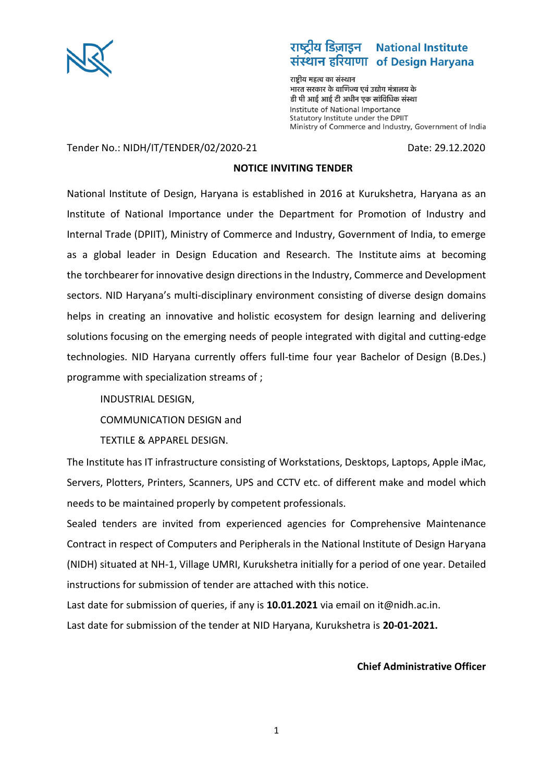

#### राष्टीय डिज़ाइन **National Institute** संस्थान हरियाणा of Design Haryana

राष्ट्रीय महत्व का संस्थान भारत सरकार के वाणिज्य एवं उद्योग मंत्रालय के डी पी आई आई टी अधीन एक सांविधिक संस्था Institute of National Importance Statutory Institute under the DPIIT Ministry of Commerce and Industry, Government of India

Tender No.: NIDH/IT/TENDER/02/2020-21 Date: 29.12.2020

### **NOTICE INVITING TENDER**

National Institute of Design, Haryana is established in 2016 at Kurukshetra, Haryana as an Institute of National Importance under the Department for Promotion of Industry and Internal Trade (DPIIT), Ministry of Commerce and Industry, Government of India, to emerge as a global leader in Design Education and Research. The Institute aims at becoming the torchbearer for innovative design directions in the Industry, Commerce and Development sectors. NID Haryana's multi-disciplinary environment consisting of diverse design domains helps in creating an innovative and holistic ecosystem for design learning and delivering solutions focusing on the emerging needs of people integrated with digital and cutting-edge technologies. NID Haryana currently offers full-time four year Bachelor of Design (B.Des.) programme with specialization streams of ;

INDUSTRIAL DESIGN,

COMMUNICATION DESIGN and

TEXTILE & APPAREL DESIGN.

The Institute has IT infrastructure consisting of Workstations, Desktops, Laptops, Apple iMac, Servers, Plotters, Printers, Scanners, UPS and CCTV etc. of different make and model which needs to be maintained properly by competent professionals.

Sealed tenders are invited from experienced agencies for Comprehensive Maintenance Contract in respect of Computers and Peripherals in the National Institute of Design Haryana (NIDH) situated at NH-1, Village UMRI, Kurukshetra initially for a period of one year. Detailed instructions for submission of tender are attached with this notice.

Last date for submission of queries, if any is **10.01.2021** via email on it@nidh.ac.in.

Last date for submission of the tender at NID Haryana, Kurukshetra is **20-01-2021.**

#### **Chief Administrative Officer**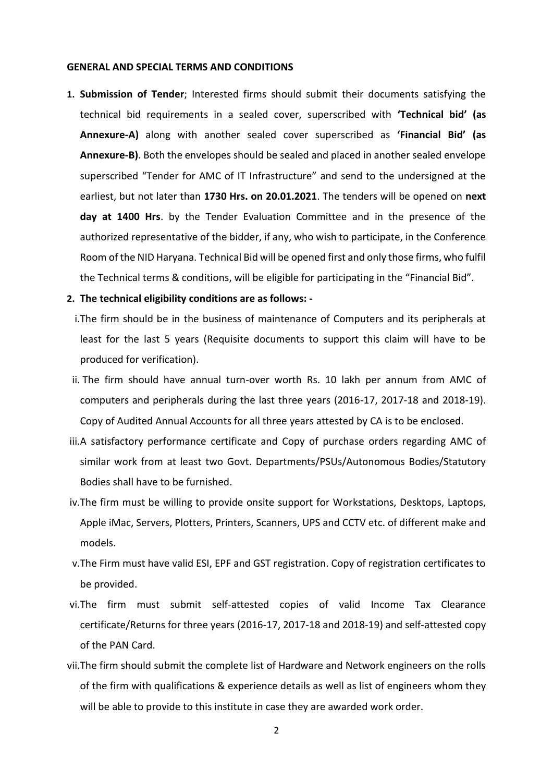#### **GENERAL AND SPECIAL TERMS AND CONDITIONS**

**1. Submission of Tender**; Interested firms should submit their documents satisfying the technical bid requirements in a sealed cover, superscribed with **'Technical bid' (as Annexure-A)** along with another sealed cover superscribed as **'Financial Bid' (as Annexure-B)**. Both the envelopes should be sealed and placed in another sealed envelope superscribed "Tender for AMC of IT Infrastructure" and send to the undersigned at the earliest, but not later than **1730 Hrs. on 20.01.2021**. The tenders will be opened on **next day at 1400 Hrs**. by the Tender Evaluation Committee and in the presence of the authorized representative of the bidder, if any, who wish to participate, in the Conference Room of the NID Haryana. Technical Bid will be opened first and only those firms, who fulfil the Technical terms & conditions, will be eligible for participating in the "Financial Bid".

#### **2. The technical eligibility conditions are as follows: -**

- i.The firm should be in the business of maintenance of Computers and its peripherals at least for the last 5 years (Requisite documents to support this claim will have to be produced for verification).
- ii. The firm should have annual turn-over worth Rs. 10 lakh per annum from AMC of computers and peripherals during the last three years (2016-17, 2017-18 and 2018-19). Copy of Audited Annual Accounts for all three years attested by CA is to be enclosed.
- iii.A satisfactory performance certificate and Copy of purchase orders regarding AMC of similar work from at least two Govt. Departments/PSUs/Autonomous Bodies/Statutory Bodies shall have to be furnished.
- iv.The firm must be willing to provide onsite support for Workstations, Desktops, Laptops, Apple iMac, Servers, Plotters, Printers, Scanners, UPS and CCTV etc. of different make and models.
- v.The Firm must have valid ESI, EPF and GST registration. Copy of registration certificates to be provided.
- vi.The firm must submit self-attested copies of valid Income Tax Clearance certificate/Returns for three years (2016-17, 2017-18 and 2018-19) and self-attested copy of the PAN Card.
- vii.The firm should submit the complete list of Hardware and Network engineers on the rolls of the firm with qualifications & experience details as well as list of engineers whom they will be able to provide to this institute in case they are awarded work order.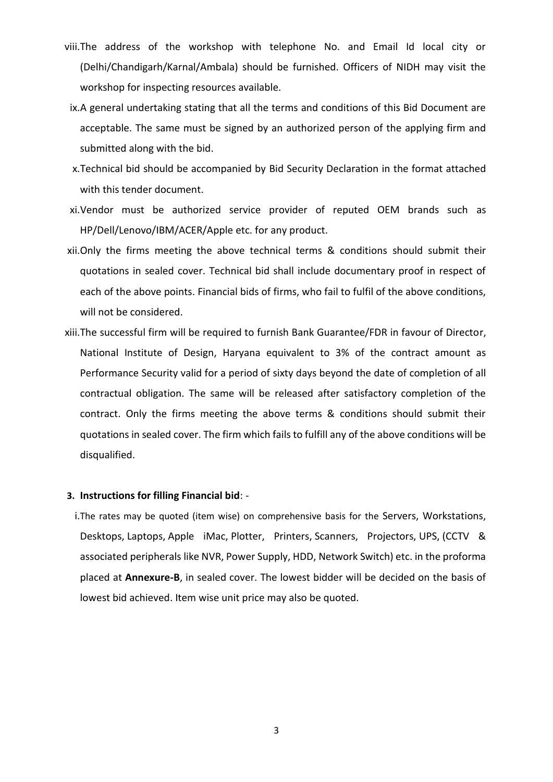- viii.The address of the workshop with telephone No. and Email Id local city or (Delhi/Chandigarh/Karnal/Ambala) should be furnished. Officers of NIDH may visit the workshop for inspecting resources available.
- ix.A general undertaking stating that all the terms and conditions of this Bid Document are acceptable. The same must be signed by an authorized person of the applying firm and submitted along with the bid.
- x.Technical bid should be accompanied by Bid Security Declaration in the format attached with this tender document.
- xi.Vendor must be authorized service provider of reputed OEM brands such as HP/Dell/Lenovo/IBM/ACER/Apple etc. for any product.
- xii.Only the firms meeting the above technical terms & conditions should submit their quotations in sealed cover. Technical bid shall include documentary proof in respect of each of the above points. Financial bids of firms, who fail to fulfil of the above conditions, will not be considered.
- xiii.The successful firm will be required to furnish Bank Guarantee/FDR in favour of Director, National Institute of Design, Haryana equivalent to 3% of the contract amount as Performance Security valid for a period of sixty days beyond the date of completion of all contractual obligation. The same will be released after satisfactory completion of the contract. Only the firms meeting the above terms & conditions should submit their quotations in sealed cover. The firm which fails to fulfill any of the above conditions will be disqualified.

#### **3. Instructions for filling Financial bid**: -

i.The rates may be quoted (item wise) on comprehensive basis for the Servers, Workstations, Desktops, Laptops, Apple iMac, Plotter, Printers, Scanners, Projectors, UPS, (CCTV & associated peripherals like NVR, Power Supply, HDD, Network Switch) etc. in the proforma placed at **Annexure-B**, in sealed cover. The lowest bidder will be decided on the basis of lowest bid achieved. Item wise unit price may also be quoted.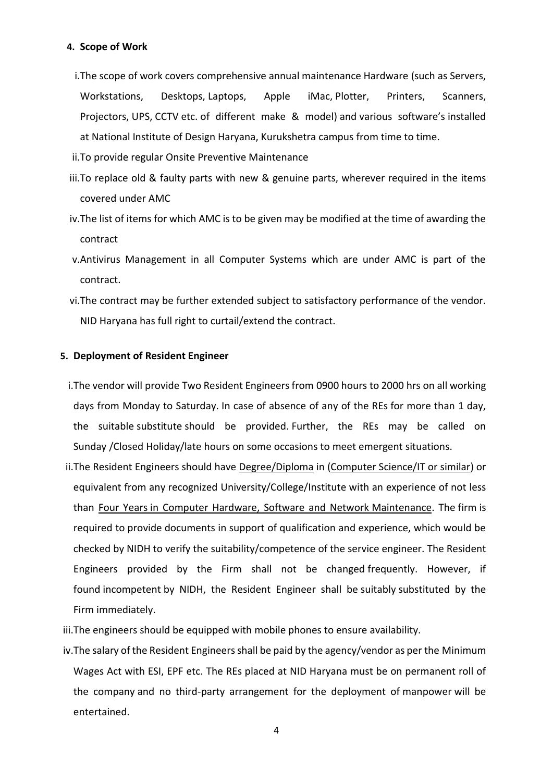#### **4. Scope of Work**

- i.The scope of work covers comprehensive annual maintenance Hardware (such as Servers, Workstations, Desktops, Laptops, Apple iMac, Plotter, Printers, Scanners, Projectors, UPS, CCTV etc. of different make & model) and various software's installed at National Institute of Design Haryana, Kurukshetra campus from time to time.
- ii.To provide regular Onsite Preventive Maintenance
- iii.To replace old & faulty parts with new & genuine parts, wherever required in the items covered under AMC
- iv.The list of items for which AMC is to be given may be modified at the time of awarding the contract
- v.Antivirus Management in all Computer Systems which are under AMC is part of the contract.
- vi.The contract may be further extended subject to satisfactory performance of the vendor. NID Haryana has full right to curtail/extend the contract.

#### **5. Deployment of Resident Engineer**

- i.The vendor will provide Two Resident Engineers from 0900 hours to 2000 hrs on all working days from Monday to Saturday. In case of absence of any of the REs for more than 1 day, the suitable substitute should be provided. Further, the REs may be called on Sunday /Closed Holiday/late hours on some occasions to meet emergent situations.
- ii.The Resident Engineers should have Degree/Diploma in (Computer Science/IT or similar) or equivalent from any recognized University/College/Institute with an experience of not less than Four Years in Computer Hardware, Software and Network Maintenance. The firm is required to provide documents in support of qualification and experience, which would be checked by NIDH to verify the suitability/competence of the service engineer. The Resident Engineers provided by the Firm shall not be changed frequently. However, if found incompetent by NIDH, the Resident Engineer shall be suitably substituted by the Firm immediately.
- iii.The engineers should be equipped with mobile phones to ensure availability.
- iv.The salary of the Resident Engineers shall be paid by the agency/vendor as per the Minimum Wages Act with ESI, EPF etc. The REs placed at NID Haryana must be on permanent roll of the company and no third-party arrangement for the deployment of manpower will be entertained.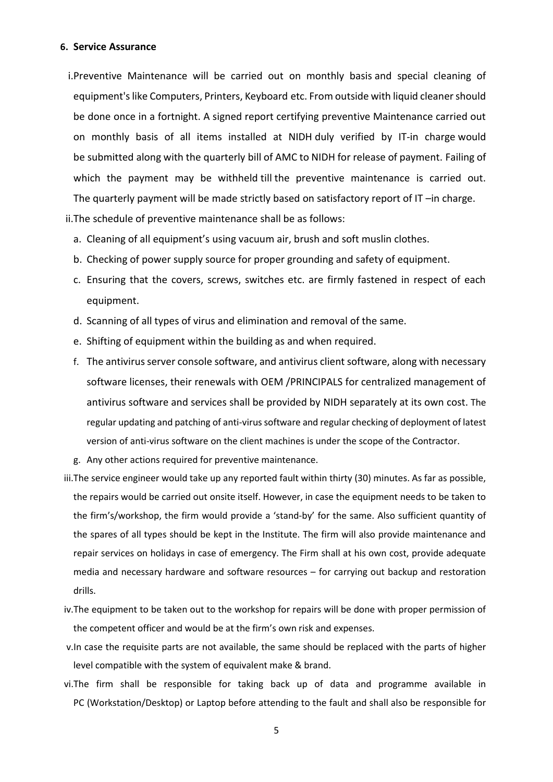#### **6. Service Assurance**

i.Preventive Maintenance will be carried out on monthly basis and special cleaning of equipment's like Computers, Printers, Keyboard etc. From outside with liquid cleaner should be done once in a fortnight. A signed report certifying preventive Maintenance carried out on monthly basis of all items installed at NIDH duly verified by IT-in charge would be submitted along with the quarterly bill of AMC to NIDH for release of payment. Failing of which the payment may be withheld till the preventive maintenance is carried out. The quarterly payment will be made strictly based on satisfactory report of IT –in charge.

ii.The schedule of preventive maintenance shall be as follows:

- a. Cleaning of all equipment's using vacuum air, brush and soft muslin clothes.
- b. Checking of power supply source for proper grounding and safety of equipment.
- c. Ensuring that the covers, screws, switches etc. are firmly fastened in respect of each equipment.
- d. Scanning of all types of virus and elimination and removal of the same.
- e. Shifting of equipment within the building as and when required.
- f. The antivirus server console software, and antivirus client software, along with necessary software licenses, their renewals with OEM /PRINCIPALS for centralized management of antivirus software and services shall be provided by NIDH separately at its own cost. The regular updating and patching of anti-virus software and regular checking of deployment of latest version of anti-virus software on the client machines is under the scope of the Contractor.
- g. Any other actions required for preventive maintenance.
- iii.The service engineer would take up any reported fault within thirty (30) minutes. As far as possible, the repairs would be carried out onsite itself. However, in case the equipment needs to be taken to the firm's/workshop, the firm would provide a 'stand-by' for the same. Also sufficient quantity of the spares of all types should be kept in the Institute. The firm will also provide maintenance and repair services on holidays in case of emergency. The Firm shall at his own cost, provide adequate media and necessary hardware and software resources – for carrying out backup and restoration drills.
- iv.The equipment to be taken out to the workshop for repairs will be done with proper permission of the competent officer and would be at the firm's own risk and expenses.
- v.In case the requisite parts are not available, the same should be replaced with the parts of higher level compatible with the system of equivalent make & brand.
- vi.The firm shall be responsible for taking back up of data and programme available in PC (Workstation/Desktop) or Laptop before attending to the fault and shall also be responsible for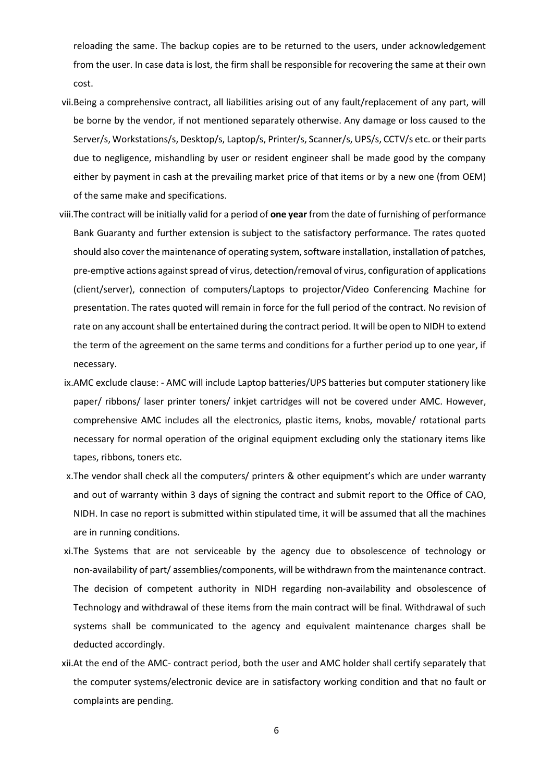reloading the same. The backup copies are to be returned to the users, under acknowledgement from the user. In case data is lost, the firm shall be responsible for recovering the same at their own cost.

- vii.Being a comprehensive contract, all liabilities arising out of any fault/replacement of any part, will be borne by the vendor, if not mentioned separately otherwise. Any damage or loss caused to the Server/s, Workstations/s, Desktop/s, Laptop/s, Printer/s, Scanner/s, UPS/s, CCTV/s etc. or their parts due to negligence, mishandling by user or resident engineer shall be made good by the company either by payment in cash at the prevailing market price of that items or by a new one (from OEM) of the same make and specifications.
- viii.The contract will be initially valid for a period of **one year** from the date of furnishing of performance Bank Guaranty and further extension is subject to the satisfactory performance. The rates quoted should also cover the maintenance of operating system, software installation, installation of patches, pre-emptive actions against spread of virus, detection/removal of virus, configuration of applications (client/server), connection of computers/Laptops to projector/Video Conferencing Machine for presentation. The rates quoted will remain in force for the full period of the contract. No revision of rate on any account shall be entertained during the contract period. It will be open to NIDH to extend the term of the agreement on the same terms and conditions for a further period up to one year, if necessary.
- ix.AMC exclude clause: AMC will include Laptop batteries/UPS batteries but computer stationery like paper/ ribbons/ laser printer toners/ inkjet cartridges will not be covered under AMC. However, comprehensive AMC includes all the electronics, plastic items, knobs, movable/ rotational parts necessary for normal operation of the original equipment excluding only the stationary items like tapes, ribbons, toners etc.
- x.The vendor shall check all the computers/ printers & other equipment's which are under warranty and out of warranty within 3 days of signing the contract and submit report to the Office of CAO, NIDH. In case no report is submitted within stipulated time, it will be assumed that all the machines are in running conditions.
- xi.The Systems that are not serviceable by the agency due to obsolescence of technology or non-availability of part/ assemblies/components, will be withdrawn from the maintenance contract. The decision of competent authority in NIDH regarding non-availability and obsolescence of Technology and withdrawal of these items from the main contract will be final. Withdrawal of such systems shall be communicated to the agency and equivalent maintenance charges shall be deducted accordingly.
- xii.At the end of the AMC- contract period, both the user and AMC holder shall certify separately that the computer systems/electronic device are in satisfactory working condition and that no fault or complaints are pending.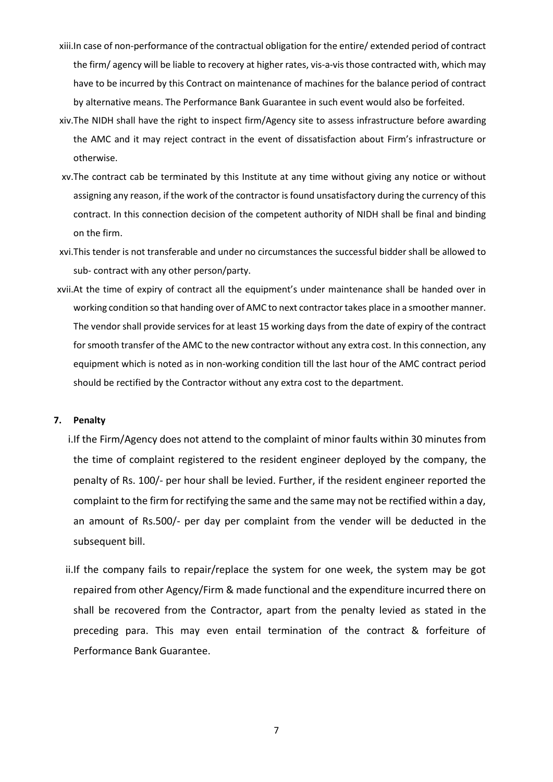- xiii.In case of non-performance of the contractual obligation for the entire/ extended period of contract the firm/ agency will be liable to recovery at higher rates, vis-a-vis those contracted with, which may have to be incurred by this Contract on maintenance of machines for the balance period of contract by alternative means. The Performance Bank Guarantee in such event would also be forfeited.
- xiv.The NIDH shall have the right to inspect firm/Agency site to assess infrastructure before awarding the AMC and it may reject contract in the event of dissatisfaction about Firm's infrastructure or otherwise.
- xv.The contract cab be terminated by this Institute at any time without giving any notice or without assigning any reason, if the work of the contractor is found unsatisfactory during the currency of this contract. In this connection decision of the competent authority of NIDH shall be final and binding on the firm.
- xvi.This tender is not transferable and under no circumstances the successful bidder shall be allowed to sub- contract with any other person/party.
- xvii.At the time of expiry of contract all the equipment's under maintenance shall be handed over in working condition so that handing over of AMC to next contractor takes place in a smoother manner. The vendor shall provide services for at least 15 working days from the date of expiry of the contract for smooth transfer of the AMC to the new contractor without any extra cost. In this connection, any equipment which is noted as in non-working condition till the last hour of the AMC contract period should be rectified by the Contractor without any extra cost to the department.

#### **7. Penalty**

- i.If the Firm/Agency does not attend to the complaint of minor faults within 30 minutes from the time of complaint registered to the resident engineer deployed by the company, the penalty of Rs. 100/- per hour shall be levied. Further, if the resident engineer reported the complaint to the firm for rectifying the same and the same may not be rectified within a day, an amount of Rs.500/- per day per complaint from the vender will be deducted in the subsequent bill.
- ii.If the company fails to repair/replace the system for one week, the system may be got repaired from other Agency/Firm & made functional and the expenditure incurred there on shall be recovered from the Contractor, apart from the penalty levied as stated in the preceding para. This may even entail termination of the contract & forfeiture of Performance Bank Guarantee.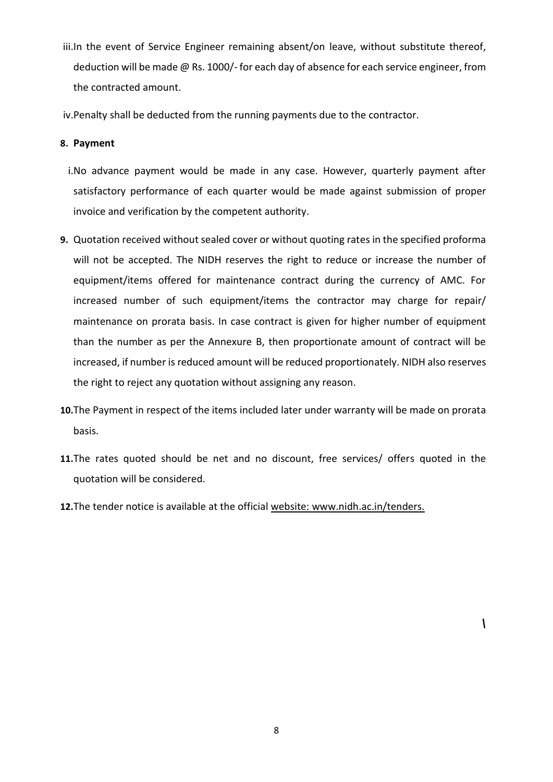- iii.In the event of Service Engineer remaining absent/on leave, without substitute thereof, deduction will be made @ Rs. 1000/- for each day of absence for each service engineer, from the contracted amount.
- iv.Penalty shall be deducted from the running payments due to the contractor.

#### **8. Payment**

- i.No advance payment would be made in any case. However, quarterly payment after satisfactory performance of each quarter would be made against submission of proper invoice and verification by the competent authority.
- **9.** Quotation received without sealed cover or without quoting rates in the specified proforma will not be accepted. The NIDH reserves the right to reduce or increase the number of equipment/items offered for maintenance contract during the currency of AMC. For increased number of such equipment/items the contractor may charge for repair/ maintenance on prorata basis. In case contract is given for higher number of equipment than the number as per the Annexure B, then proportionate amount of contract will be increased, if number is reduced amount will be reduced proportionately. NIDH also reserves the right to reject any quotation without assigning any reason.
- **10.**The Payment in respect of the items included later under warranty will be made on prorata basis.
- **11.**The rates quoted should be net and no discount, free services/ offers quoted in the quotation will be considered.
- **12.**The tender notice is available at the official website: www.nidh.ac.in/tenders.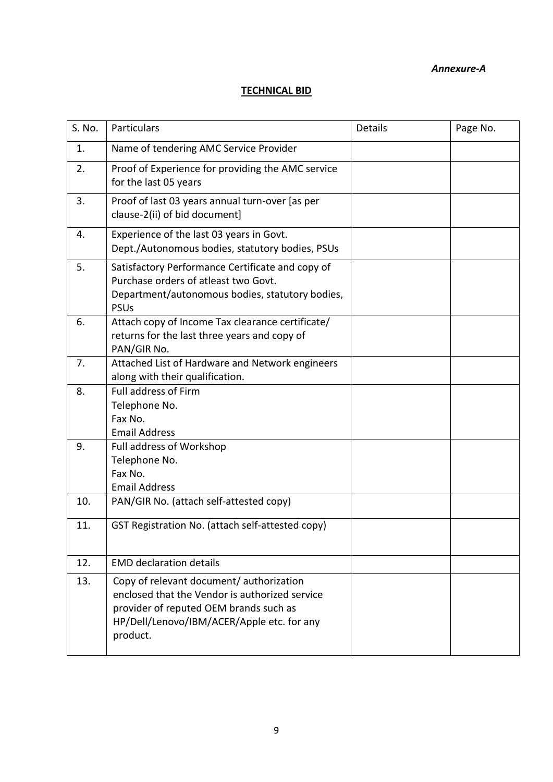#### *Annexure-A*

## **TECHNICAL BID**

| S. No. | Particulars                                                                                                                                                                                    | Details | Page No. |
|--------|------------------------------------------------------------------------------------------------------------------------------------------------------------------------------------------------|---------|----------|
| 1.     | Name of tendering AMC Service Provider                                                                                                                                                         |         |          |
| 2.     | Proof of Experience for providing the AMC service<br>for the last 05 years                                                                                                                     |         |          |
| 3.     | Proof of last 03 years annual turn-over [as per<br>clause-2(ii) of bid document]                                                                                                               |         |          |
| 4.     | Experience of the last 03 years in Govt.<br>Dept./Autonomous bodies, statutory bodies, PSUs                                                                                                    |         |          |
| 5.     | Satisfactory Performance Certificate and copy of<br>Purchase orders of atleast two Govt.<br>Department/autonomous bodies, statutory bodies,<br><b>PSUs</b>                                     |         |          |
| 6.     | Attach copy of Income Tax clearance certificate/<br>returns for the last three years and copy of<br>PAN/GIR No.                                                                                |         |          |
| 7.     | Attached List of Hardware and Network engineers<br>along with their qualification.                                                                                                             |         |          |
| 8.     | Full address of Firm<br>Telephone No.<br>Fax No.<br><b>Email Address</b>                                                                                                                       |         |          |
| 9.     | Full address of Workshop<br>Telephone No.<br>Fax No.<br><b>Email Address</b>                                                                                                                   |         |          |
| 10.    | PAN/GIR No. (attach self-attested copy)                                                                                                                                                        |         |          |
| 11.    | GST Registration No. (attach self-attested copy)                                                                                                                                               |         |          |
| 12.    | <b>EMD declaration details</b>                                                                                                                                                                 |         |          |
| 13.    | Copy of relevant document/ authorization<br>enclosed that the Vendor is authorized service<br>provider of reputed OEM brands such as<br>HP/Dell/Lenovo/IBM/ACER/Apple etc. for any<br>product. |         |          |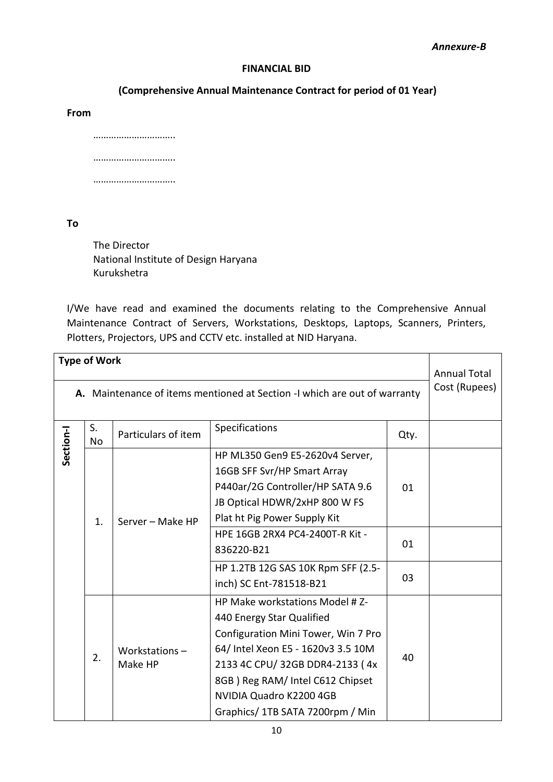#### **FINANCIAL BID**

#### **(Comprehensive Annual Maintenance Contract for period of 01 Year)**

**From**

…………………………… ………………………… ……………………………

**To**

The Director National Institute of Design Haryana Kurukshetra

I/We have read and examined the documents relating to the Comprehensive Annual Maintenance Contract of Servers, Workstations, Desktops, Laptops, Scanners, Printers, Plotters, Projectors, UPS and CCTV etc. installed at NID Haryana.

|           | <b>Type of Work</b>                                                       |                          |                                                                                                                                                                                                                                                                                       |                | <b>Annual Total</b> |
|-----------|---------------------------------------------------------------------------|--------------------------|---------------------------------------------------------------------------------------------------------------------------------------------------------------------------------------------------------------------------------------------------------------------------------------|----------------|---------------------|
|           | A. Maintenance of items mentioned at Section -I which are out of warranty |                          |                                                                                                                                                                                                                                                                                       |                |                     |
| Section-I | S.<br><b>No</b>                                                           | Particulars of item      | Specifications                                                                                                                                                                                                                                                                        | Qty.           |                     |
|           | 1.                                                                        | Server - Make HP         | HP ML350 Gen9 E5-2620v4 Server,<br>16GB SFF Svr/HP Smart Array<br>P440ar/2G Controller/HP SATA 9.6<br>JB Optical HDWR/2xHP 800 W FS<br>Plat ht Pig Power Supply Kit<br>HPE 16GB 2RX4 PC4-2400T-R Kit -<br>836220-B21<br>HP 1.2TB 12G SAS 10K Rpm SFF (2.5-<br>inch) SC Ent-781518-B21 | 01<br>01<br>03 |                     |
|           | 2.                                                                        | Workstations-<br>Make HP | HP Make workstations Model # Z-<br>440 Energy Star Qualified<br>Configuration Mini Tower, Win 7 Pro<br>64/ Intel Xeon E5 - 1620v3 3.5 10M<br>2133 4C CPU/ 32GB DDR4-2133 (4x)<br>8GB ) Reg RAM/ Intel C612 Chipset<br>NVIDIA Quadro K2200 4GB<br>Graphics/ 1TB SATA 7200rpm / Min     | 40             |                     |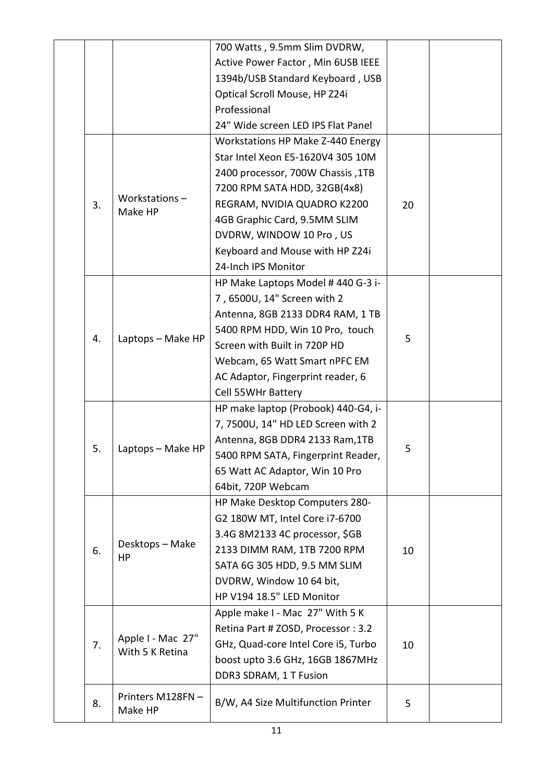|    |                             | 700 Watts, 9.5mm Slim DVDRW,        |    |  |
|----|-----------------------------|-------------------------------------|----|--|
|    |                             | Active Power Factor, Min 6USB IEEE  |    |  |
|    |                             | 1394b/USB Standard Keyboard, USB    |    |  |
|    |                             | Optical Scroll Mouse, HP Z24i       |    |  |
|    |                             | Professional                        |    |  |
|    |                             | 24" Wide screen LED IPS Flat Panel  |    |  |
|    |                             | Workstations HP Make Z-440 Energy   |    |  |
|    |                             | Star Intel Xeon E5-1620V4 305 10M   |    |  |
|    |                             | 2400 processor, 700W Chassis, 1TB   |    |  |
|    |                             | 7200 RPM SATA HDD, 32GB(4x8)        |    |  |
| 3. | Workstations-               | REGRAM, NVIDIA QUADRO K2200         | 20 |  |
|    | Make HP                     | 4GB Graphic Card, 9.5MM SLIM        |    |  |
|    |                             | DVDRW, WINDOW 10 Pro, US            |    |  |
|    |                             | Keyboard and Mouse with HP Z24i     |    |  |
|    |                             | 24-Inch IPS Monitor                 |    |  |
|    |                             | HP Make Laptops Model # 440 G-3 i-  |    |  |
|    |                             | 7,6500U, 14" Screen with 2          |    |  |
|    |                             | Antenna, 8GB 2133 DDR4 RAM, 1 TB    |    |  |
|    | Laptops - Make HP           | 5400 RPM HDD, Win 10 Pro, touch     |    |  |
| 4. |                             | Screen with Built in 720P HD        | 5  |  |
|    |                             | Webcam, 65 Watt Smart nPFC EM       |    |  |
|    |                             | AC Adaptor, Fingerprint reader, 6   |    |  |
|    |                             | Cell 55WHr Battery                  |    |  |
|    |                             | HP make laptop (Probook) 440-G4, i- |    |  |
|    |                             | 7, 7500U, 14" HD LED Screen with 2  |    |  |
|    |                             | Antenna, 8GB DDR4 2133 Ram, 1TB     |    |  |
| 5. | Laptops - Make HP           | 5400 RPM SATA, Fingerprint Reader,  | 5  |  |
|    |                             | 65 Watt AC Adaptor, Win 10 Pro      |    |  |
|    |                             | 64bit, 720P Webcam                  |    |  |
|    |                             | HP Make Desktop Computers 280-      |    |  |
|    |                             | G2 180W MT, Intel Core i7-6700      |    |  |
|    |                             | 3.4G 8M2133 4C processor, \$GB      |    |  |
|    | Desktops - Make             |                                     |    |  |
| 6. | HP                          | 2133 DIMM RAM, 1TB 7200 RPM         | 10 |  |
|    |                             | SATA 6G 305 HDD, 9.5 MM SLIM        |    |  |
|    |                             | DVDRW, Window 10 64 bit,            |    |  |
|    |                             | HP V194 18.5" LED Monitor           |    |  |
|    |                             | Apple make I - Mac 27" With 5 K     |    |  |
|    | Apple I - Mac 27"           | Retina Part # ZOSD, Processor: 3.2  |    |  |
| 7. | With 5 K Retina             | GHz, Quad-core Intel Core i5, Turbo | 10 |  |
|    |                             | boost upto 3.6 GHz, 16GB 1867MHz    |    |  |
|    |                             | DDR3 SDRAM, 1 T Fusion              |    |  |
| 8. | Printers M128FN-<br>Make HP | B/W, A4 Size Multifunction Printer  | 5  |  |
|    |                             |                                     |    |  |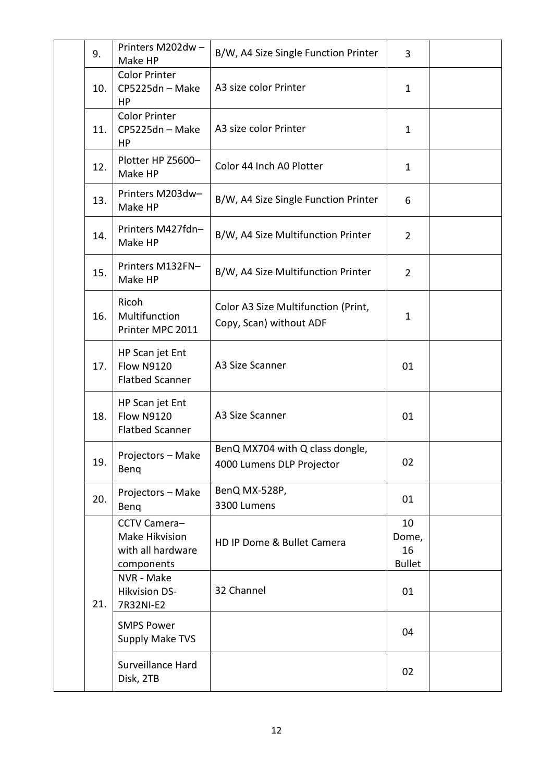| 9.  | Printers M202dw-<br>Make HP                                       | B/W, A4 Size Single Function Printer                           | 3                                  |  |
|-----|-------------------------------------------------------------------|----------------------------------------------------------------|------------------------------------|--|
| 10. | <b>Color Printer</b><br>CP5225dn - Make<br>HP                     | A3 size color Printer                                          | $\mathbf{1}$                       |  |
| 11. | <b>Color Printer</b><br>CP5225dn - Make<br>HP                     | A3 size color Printer                                          | 1                                  |  |
| 12. | Plotter HP Z5600-<br>Make HP                                      | Color 44 Inch A0 Plotter                                       | $\mathbf{1}$                       |  |
| 13. | Printers M203dw-<br>Make HP                                       | B/W, A4 Size Single Function Printer                           | 6                                  |  |
| 14. | Printers M427fdn-<br>Make HP                                      | B/W, A4 Size Multifunction Printer                             | $\overline{2}$                     |  |
| 15. | Printers M132FN-<br>Make HP                                       | B/W, A4 Size Multifunction Printer                             | $\overline{2}$                     |  |
| 16. | Ricoh<br>Multifunction<br>Printer MPC 2011                        | Color A3 Size Multifunction (Print,<br>Copy, Scan) without ADF | $\mathbf{1}$                       |  |
| 17. | HP Scan jet Ent<br><b>Flow N9120</b><br><b>Flatbed Scanner</b>    | A3 Size Scanner                                                | 01                                 |  |
| 18. | HP Scan jet Ent<br><b>Flow N9120</b><br><b>Flatbed Scanner</b>    | A3 Size Scanner                                                | 01                                 |  |
| 19. | Projectors - Make<br>Benq                                         | BenQ MX704 with Q class dongle,<br>4000 Lumens DLP Projector   | 02                                 |  |
| 20. | Projectors - Make<br>Beng                                         | BenQ MX-528P,<br>3300 Lumens                                   | 01                                 |  |
|     | CCTV Camera-<br>Make Hikvision<br>with all hardware<br>components | HD IP Dome & Bullet Camera                                     | 10<br>Dome,<br>16<br><b>Bullet</b> |  |
| 21. | NVR - Make<br><b>Hikvision DS-</b><br>7R32NI-E2                   | 32 Channel                                                     | 01                                 |  |
|     | <b>SMPS Power</b><br>Supply Make TVS                              |                                                                | 04                                 |  |
|     | Surveillance Hard<br>Disk, 2TB                                    |                                                                | 02                                 |  |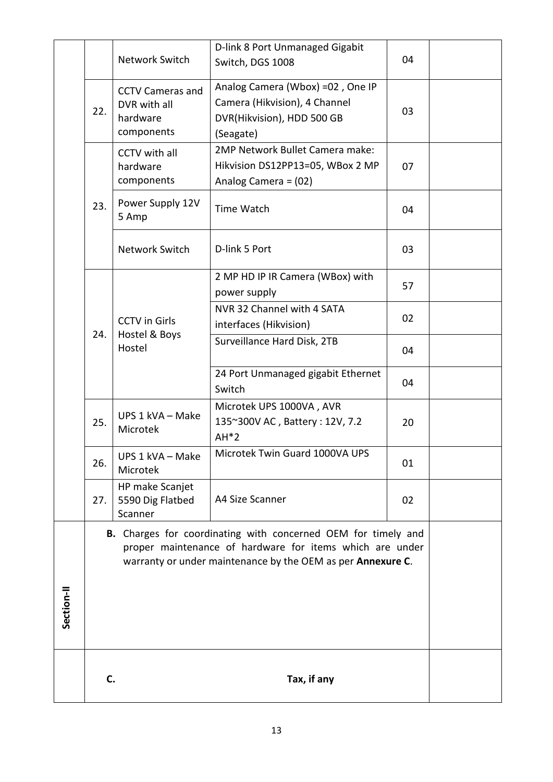|            |                                                                                                                                                                                          |                                                                   | D-link 8 Port Unmanaged Gigabit                                                                              |    |  |  |
|------------|------------------------------------------------------------------------------------------------------------------------------------------------------------------------------------------|-------------------------------------------------------------------|--------------------------------------------------------------------------------------------------------------|----|--|--|
|            |                                                                                                                                                                                          | Network Switch                                                    | Switch, DGS 1008                                                                                             | 04 |  |  |
|            | 22.                                                                                                                                                                                      | <b>CCTV Cameras and</b><br>DVR with all<br>hardware<br>components | Analog Camera (Wbox) =02, One IP<br>Camera (Hikvision), 4 Channel<br>DVR(Hikvision), HDD 500 GB<br>(Seagate) | 03 |  |  |
|            |                                                                                                                                                                                          | CCTV with all<br>hardware<br>components                           | 2MP Network Bullet Camera make:<br>Hikvision DS12PP13=05, WBox 2 MP<br>Analog Camera = (02)                  | 07 |  |  |
|            | 23.                                                                                                                                                                                      | Power Supply 12V<br>5 Amp                                         | <b>Time Watch</b>                                                                                            | 04 |  |  |
|            |                                                                                                                                                                                          | Network Switch                                                    | D-link 5 Port                                                                                                | 03 |  |  |
|            |                                                                                                                                                                                          |                                                                   | 2 MP HD IP IR Camera (WBox) with<br>power supply                                                             | 57 |  |  |
|            | 24.                                                                                                                                                                                      | <b>CCTV</b> in Girls<br>Hostel & Boys                             | NVR 32 Channel with 4 SATA<br>interfaces (Hikvision)                                                         | 02 |  |  |
|            |                                                                                                                                                                                          | Hostel                                                            | Surveillance Hard Disk, 2TB                                                                                  | 04 |  |  |
|            |                                                                                                                                                                                          |                                                                   | 24 Port Unmanaged gigabit Ethernet<br>Switch                                                                 | 04 |  |  |
|            | 25.                                                                                                                                                                                      | UPS 1 kVA - Make<br>Microtek                                      | Microtek UPS 1000VA, AVR<br>135~300V AC, Battery: 12V, 7.2<br>$AH*2$                                         | 20 |  |  |
|            | 26.                                                                                                                                                                                      | UPS 1 kVA - Make<br>Microtek                                      | Microtek Twin Guard 1000VA UPS                                                                               | 01 |  |  |
|            | 27.                                                                                                                                                                                      | HP make Scanjet<br>5590 Dig Flatbed<br>Scanner                    | A4 Size Scanner                                                                                              | 02 |  |  |
|            | B. Charges for coordinating with concerned OEM for timely and<br>proper maintenance of hardware for items which are under<br>warranty or under maintenance by the OEM as per Annexure C. |                                                                   |                                                                                                              |    |  |  |
| Section-II |                                                                                                                                                                                          |                                                                   |                                                                                                              |    |  |  |
|            | C.                                                                                                                                                                                       |                                                                   |                                                                                                              |    |  |  |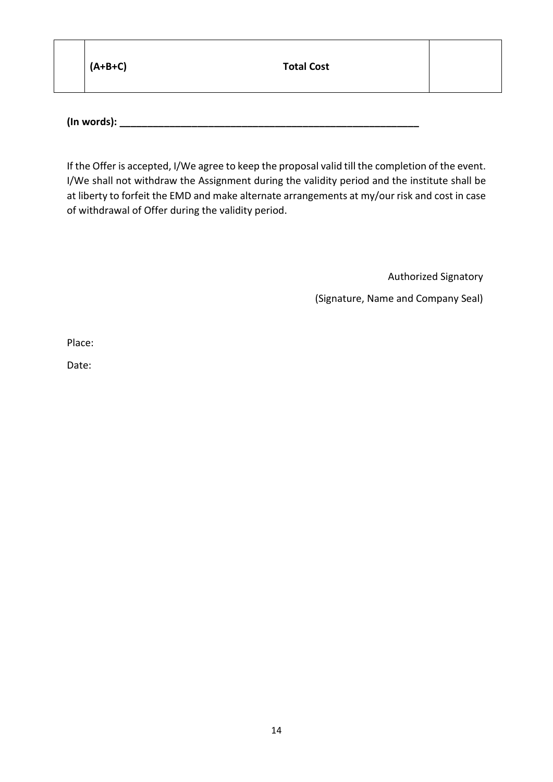| $(A+B+C)$ | <b>Total Cost</b> |  |
|-----------|-------------------|--|
|           |                   |  |

**(In words): \_\_\_\_\_\_\_\_\_\_\_\_\_\_\_\_\_\_\_\_\_\_\_\_\_\_\_\_\_\_\_\_\_\_\_\_\_\_\_\_\_\_\_\_\_\_\_\_\_\_\_\_\_\_**

If the Offer is accepted, I/We agree to keep the proposal valid till the completion of the event. I/We shall not withdraw the Assignment during the validity period and the institute shall be at liberty to forfeit the EMD and make alternate arrangements at my/our risk and cost in case of withdrawal of Offer during the validity period.

Authorized Signatory

(Signature, Name and Company Seal)

Place:

Date: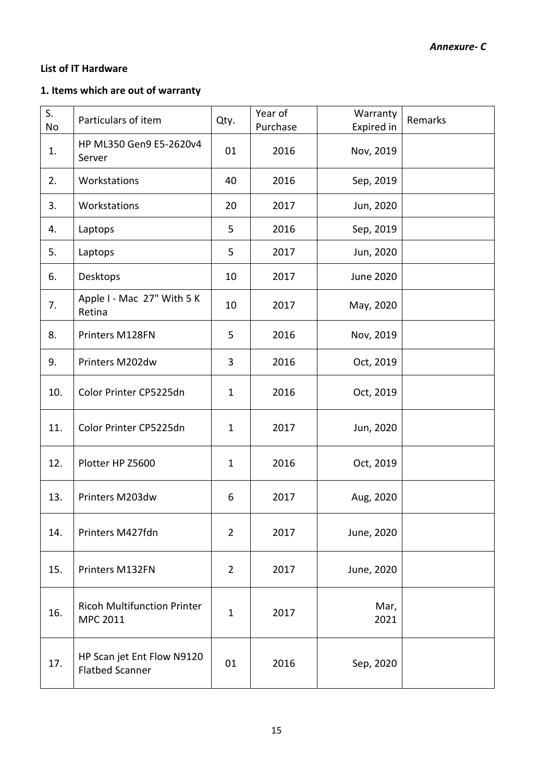## **List of IT Hardware**

## **1. Items which are out of warranty**

| S.<br>No | Particulars of item                                  | Qty.           | Year of<br>Purchase | Warranty<br>Expired in | Remarks |
|----------|------------------------------------------------------|----------------|---------------------|------------------------|---------|
| 1.       | HP ML350 Gen9 E5-2620v4<br>Server                    | 01             | 2016                | Nov, 2019              |         |
| 2.       | Workstations                                         | 40             | 2016                | Sep, 2019              |         |
| 3.       | Workstations                                         | 20             | 2017                | Jun, 2020              |         |
| 4.       | Laptops                                              | 5              | 2016                | Sep, 2019              |         |
| 5.       | Laptops                                              | 5              | 2017                | Jun, 2020              |         |
| 6.       | Desktops                                             | 10             | 2017                | <b>June 2020</b>       |         |
| 7.       | Apple I - Mac 27" With 5 K<br>Retina                 | 10             | 2017                | May, 2020              |         |
| 8.       | Printers M128FN                                      | 5              | 2016                | Nov, 2019              |         |
| 9.       | Printers M202dw                                      | 3              | 2016                | Oct, 2019              |         |
| 10.      | Color Printer CP5225dn                               | $\mathbf{1}$   | 2016                | Oct, 2019              |         |
| 11.      | Color Printer CP5225dn                               | $\mathbf{1}$   | 2017                | Jun, 2020              |         |
| 12.      | Plotter HP Z5600                                     | $\mathbf{1}$   | 2016                | Oct, 2019              |         |
| 13.      | Printers M203dw                                      | 6              | 2017                | Aug, 2020              |         |
| 14.      | Printers M427fdn                                     | $\overline{2}$ | 2017                | June, 2020             |         |
| 15.      | Printers M132FN                                      | $\overline{2}$ | 2017                | June, 2020             |         |
| 16.      | <b>Ricoh Multifunction Printer</b><br>MPC 2011       | $\mathbf{1}$   | 2017                | Mar,<br>2021           |         |
| 17.      | HP Scan jet Ent Flow N9120<br><b>Flatbed Scanner</b> | 01             | 2016                | Sep, 2020              |         |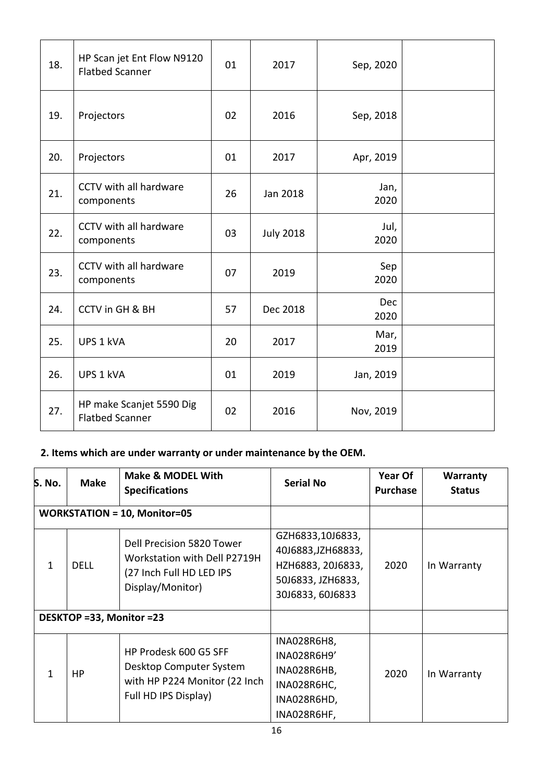| 18. | HP Scan jet Ent Flow N9120<br><b>Flatbed Scanner</b> | 01 | 2017             | Sep, 2020    |  |
|-----|------------------------------------------------------|----|------------------|--------------|--|
| 19. | Projectors                                           | 02 | 2016             | Sep, 2018    |  |
| 20. | Projectors                                           | 01 | 2017             | Apr, 2019    |  |
| 21. | CCTV with all hardware<br>components                 | 26 | Jan 2018         | Jan,<br>2020 |  |
| 22. | CCTV with all hardware<br>components                 | 03 | <b>July 2018</b> | Jul,<br>2020 |  |
| 23. | CCTV with all hardware<br>components                 | 07 | 2019             | Sep<br>2020  |  |
| 24. | <b>CCTV in GH &amp; BH</b>                           | 57 | Dec 2018         | Dec<br>2020  |  |
| 25. | UPS 1 kVA                                            | 20 | 2017             | Mar,<br>2019 |  |
| 26. | UPS 1 kVA                                            | 01 | 2019             | Jan, 2019    |  |
| 27. | HP make Scanjet 5590 Dig<br><b>Flatbed Scanner</b>   | 02 | 2016             | Nov, 2019    |  |

## **2. Items which are under warranty or under maintenance by the OEM.**

| S. No.       | <b>Make</b>              | <b>Make &amp; MODEL With</b><br><b>Specifications</b>                                                     | <b>Serial No</b>                                                                                     | Year Of<br><b>Purchase</b> | Warranty<br><b>Status</b> |
|--------------|--------------------------|-----------------------------------------------------------------------------------------------------------|------------------------------------------------------------------------------------------------------|----------------------------|---------------------------|
|              |                          | <b>WORKSTATION = 10, Monitor=05</b>                                                                       |                                                                                                      |                            |                           |
| $\mathbf{1}$ | <b>DELL</b>              | Dell Precision 5820 Tower<br>Workstation with Dell P2719H<br>(27 Inch Full HD LED IPS<br>Display/Monitor) | GZH6833,10J6833,<br>40J6883, JZH68833,<br>HZH6883, 20J6833,<br>50J6833, JZH6833,<br>30J6833, 60J6833 | 2020                       | In Warranty               |
|              | DESKTOP =33, Monitor =23 |                                                                                                           |                                                                                                      |                            |                           |
| $\mathbf{1}$ | HP.                      | HP Prodesk 600 G5 SFF<br>Desktop Computer System<br>with HP P224 Monitor (22 Inch<br>Full HD IPS Display) | INA028R6H8,<br>INA028R6H9'<br>INA028R6HB,<br>INA028R6HC,<br>INA028R6HD,<br>INA028R6HF,               | 2020                       | In Warranty               |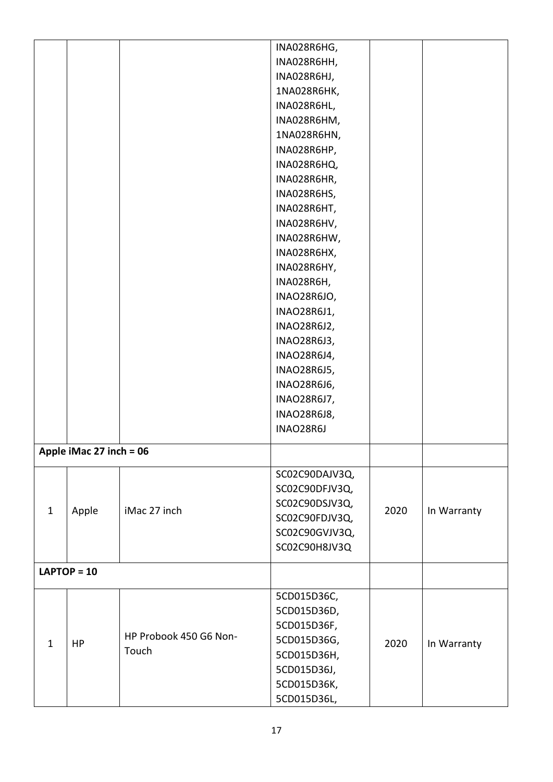|              |                         |                        | INA028R6HG,                      |      |             |
|--------------|-------------------------|------------------------|----------------------------------|------|-------------|
|              |                         |                        | INA028R6HH,                      |      |             |
|              |                         |                        | INA028R6HJ,                      |      |             |
|              |                         |                        | 1NA028R6HK,                      |      |             |
|              |                         |                        | INA028R6HL,                      |      |             |
|              |                         |                        | INA028R6HM,                      |      |             |
|              |                         |                        | 1NA028R6HN,                      |      |             |
|              |                         |                        | INA028R6HP,                      |      |             |
|              |                         |                        | INA028R6HQ,                      |      |             |
|              |                         |                        | INA028R6HR,                      |      |             |
|              |                         |                        | INA028R6HS,                      |      |             |
|              |                         |                        | INA028R6HT,                      |      |             |
|              |                         |                        | INA028R6HV,                      |      |             |
|              |                         |                        | INA028R6HW,                      |      |             |
|              |                         |                        | INA028R6HX,                      |      |             |
|              |                         |                        | INA028R6HY,                      |      |             |
|              |                         |                        | INA028R6H,                       |      |             |
|              |                         |                        | INAO28R6JO,                      |      |             |
|              |                         |                        | INAO28R6J1,                      |      |             |
|              |                         |                        | INAO28R6J2,                      |      |             |
|              |                         |                        | INAO28R6J3,                      |      |             |
|              |                         |                        | INAO28R6J4,                      |      |             |
|              |                         |                        | INAO28R6J5,                      |      |             |
|              |                         |                        | INAO28R6J6,                      |      |             |
|              |                         |                        | INAO28R6J7,                      |      |             |
|              |                         |                        | <b>INAO28R6J8,</b>               |      |             |
|              |                         |                        | INAO28R6J                        |      |             |
|              | Apple iMac 27 inch = 06 |                        |                                  |      |             |
|              |                         |                        |                                  |      |             |
|              |                         |                        | SC02C90DAJV3Q,                   |      |             |
|              |                         |                        | SC02C90DFJV3Q,<br>SC02C90DSJV3Q, |      |             |
| $\mathbf{1}$ | Apple                   | iMac 27 inch           | SC02C90FDJV3Q,                   | 2020 | In Warranty |
|              |                         |                        | SC02C90GVJV3Q,                   |      |             |
|              |                         |                        | SC02C90H8JV3Q                    |      |             |
|              |                         |                        |                                  |      |             |
|              | $LAPTOP = 10$           |                        |                                  |      |             |
|              |                         |                        | 5CD015D36C,                      |      |             |
|              |                         |                        | 5CD015D36D,                      |      |             |
|              |                         |                        | 5CD015D36F,                      |      |             |
| $\mathbf{1}$ | HP                      | HP Probook 450 G6 Non- | 5CD015D36G,                      | 2020 | In Warranty |
|              |                         | Touch                  | 5CD015D36H,                      |      |             |
|              |                         |                        | 5CD015D36J,                      |      |             |
|              |                         |                        | 5CD015D36K,                      |      |             |
|              |                         |                        | 5CD015D36L,                      |      |             |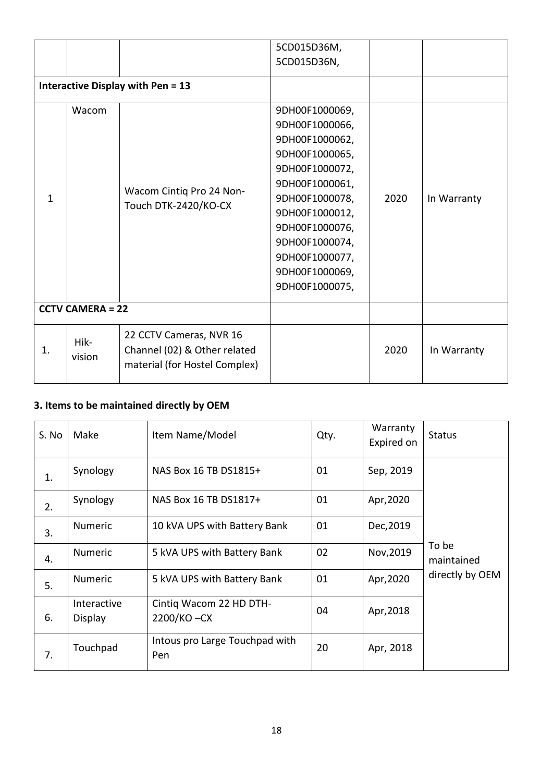|                         |                |                                                                                          | 5CD015D36M,    |      |             |
|-------------------------|----------------|------------------------------------------------------------------------------------------|----------------|------|-------------|
|                         |                |                                                                                          | 5CD015D36N,    |      |             |
|                         |                | <b>Interactive Display with Pen = 13</b>                                                 |                |      |             |
|                         | Wacom          |                                                                                          | 9DH00F1000069, |      |             |
|                         |                |                                                                                          | 9DH00F1000066, |      |             |
|                         |                |                                                                                          | 9DH00F1000062, |      |             |
|                         |                |                                                                                          | 9DH00F1000065, |      |             |
|                         |                | Wacom Cintiq Pro 24 Non-<br>Touch DTK-2420/KO-CX                                         | 9DH00F1000072, |      | In Warranty |
|                         |                |                                                                                          | 9DH00F1000061, | 2020 |             |
| $\mathbf{1}$            |                |                                                                                          | 9DH00F1000078, |      |             |
|                         |                |                                                                                          | 9DH00F1000012, |      |             |
|                         |                |                                                                                          | 9DH00F1000076, |      |             |
|                         |                |                                                                                          | 9DH00F1000074, |      |             |
|                         |                |                                                                                          | 9DH00F1000077, |      |             |
|                         |                |                                                                                          | 9DH00F1000069, |      |             |
|                         |                |                                                                                          | 9DH00F1000075, |      |             |
| <b>CCTV CAMERA = 22</b> |                |                                                                                          |                |      |             |
| 1.                      | Hik-<br>vision | 22 CCTV Cameras, NVR 16<br>Channel (02) & Other related<br>material (for Hostel Complex) |                | 2020 | In Warranty |

# **3. Items to be maintained directly by OEM**

| S. No | Make                   | Item Name/Model                       | Qty. | Warranty<br>Expired on | <b>Status</b>       |
|-------|------------------------|---------------------------------------|------|------------------------|---------------------|
| 1.    | Synology               | NAS Box 16 TB DS1815+                 | 01   | Sep, 2019              |                     |
| 2.    | Synology               | NAS Box 16 TB DS1817+                 | 01   | Apr, 2020              |                     |
| 3.    | <b>Numeric</b>         | 10 kVA UPS with Battery Bank          | 01   | Dec, 2019              |                     |
| 4.    | <b>Numeric</b>         | 5 kVA UPS with Battery Bank           | 02   | Nov, 2019              | To be<br>maintained |
| 5.    | <b>Numeric</b>         | 5 kVA UPS with Battery Bank           | 01   | Apr, 2020              | directly by OEM     |
| 6.    | Interactive<br>Display | Cintig Wacom 22 HD DTH-<br>2200/KO-CX | 04   | Apr, 2018              |                     |
| 7.    | Touchpad               | Intous pro Large Touchpad with<br>Pen | 20   | Apr, 2018              |                     |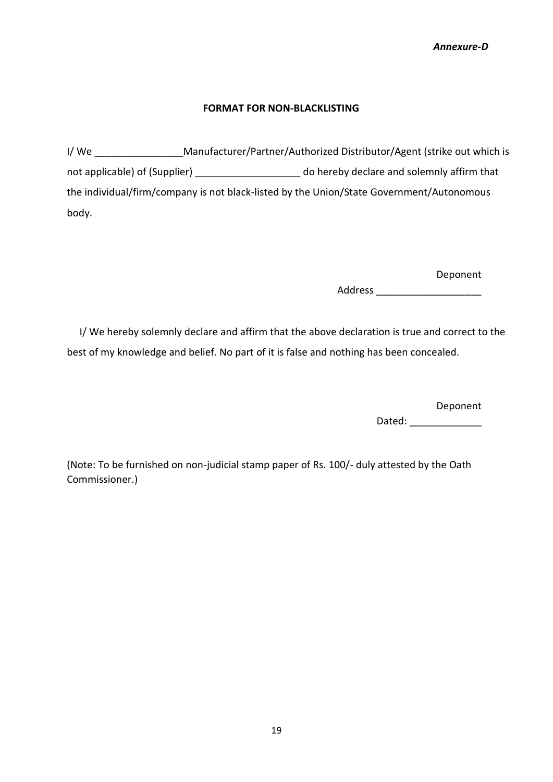#### **FORMAT FOR NON-BLACKLISTING**

I/ We \_\_\_\_\_\_\_\_\_\_\_\_\_\_\_\_Manufacturer/Partner/Authorized Distributor/Agent (strike out which is not applicable) of (Supplier) \_\_\_\_\_\_\_\_\_\_\_\_\_\_\_\_\_\_\_\_\_\_\_\_ do hereby declare and solemnly affirm that the individual/firm/company is not black-listed by the Union/State Government/Autonomous body.

Deponent

Address **and a** 

 I/ We hereby solemnly declare and affirm that the above declaration is true and correct to the best of my knowledge and belief. No part of it is false and nothing has been concealed.

Deponent

Dated:

(Note: To be furnished on non-judicial stamp paper of Rs. 100/- duly attested by the Oath Commissioner.)